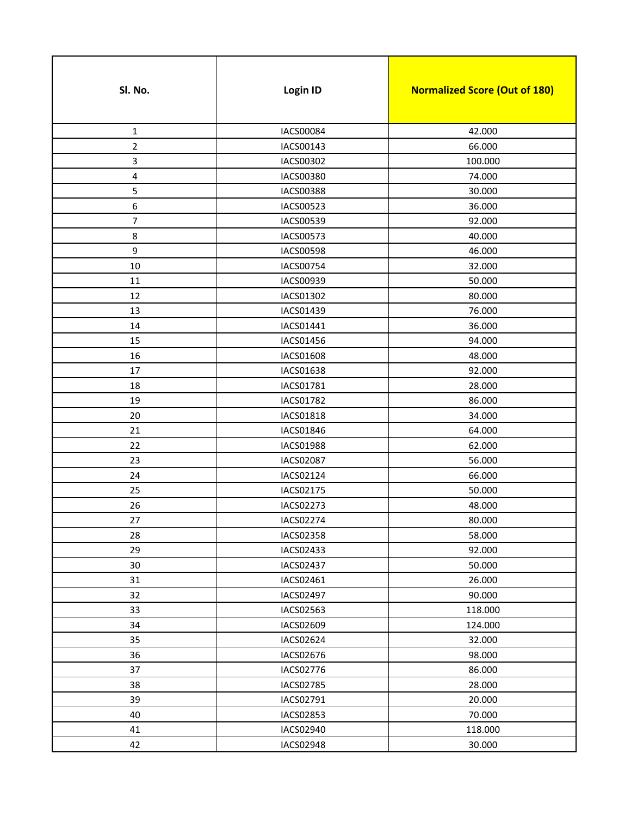| Sl. No.          | Login ID         | <b>Normalized Score (Out of 180)</b> |
|------------------|------------------|--------------------------------------|
| $\mathbf 1$      | IACS00084        | 42.000                               |
| $\overline{2}$   | IACS00143        | 66.000                               |
| 3                | IACS00302        | 100.000                              |
| 4                | IACS00380        | 74.000                               |
| 5                | IACS00388        | 30.000                               |
| 6                | IACS00523        | 36.000                               |
| $\boldsymbol{7}$ | IACS00539        | 92.000                               |
| 8                | IACS00573        | 40.000                               |
| 9                | <b>IACS00598</b> | 46.000                               |
| 10               | IACS00754        | 32.000                               |
| 11               | IACS00939        | 50.000                               |
| 12               | IACS01302        | 80.000                               |
| 13               | IACS01439        | 76.000                               |
| 14               | IACS01441        | 36.000                               |
| 15               | IACS01456        | 94.000                               |
| 16               | IACS01608        | 48.000                               |
| 17               | IACS01638        | 92.000                               |
| 18               | IACS01781        | 28.000                               |
| 19               | IACS01782        | 86.000                               |
| 20               | IACS01818        | 34.000                               |
| 21               | IACS01846        | 64.000                               |
| 22               | IACS01988        | 62.000                               |
| 23               | IACS02087        | 56.000                               |
| 24               | IACS02124        | 66.000                               |
| 25               | IACS02175        | 50.000                               |
| 26               | IACS02273        | 48.000                               |
| 27               | IACS02274        | 80.000                               |
| 28               | <b>IACS02358</b> | 58.000                               |
| 29               | IACS02433        | 92.000                               |
| 30               | IACS02437        | 50.000                               |
| 31               | IACS02461        | 26.000                               |
| 32               | IACS02497        | 90.000                               |
| 33               | IACS02563        | 118.000                              |
| 34               | IACS02609        | 124.000                              |
| 35               | IACS02624        | 32.000                               |
| 36               | IACS02676        | 98.000                               |
| 37               | IACS02776        | 86.000                               |
| 38               | IACS02785        | 28.000                               |
| 39               | IACS02791        | 20.000                               |
| 40               | IACS02853        | 70.000                               |
| 41               | IACS02940        | 118.000                              |
| 42               | <b>IACS02948</b> | 30.000                               |
|                  |                  |                                      |